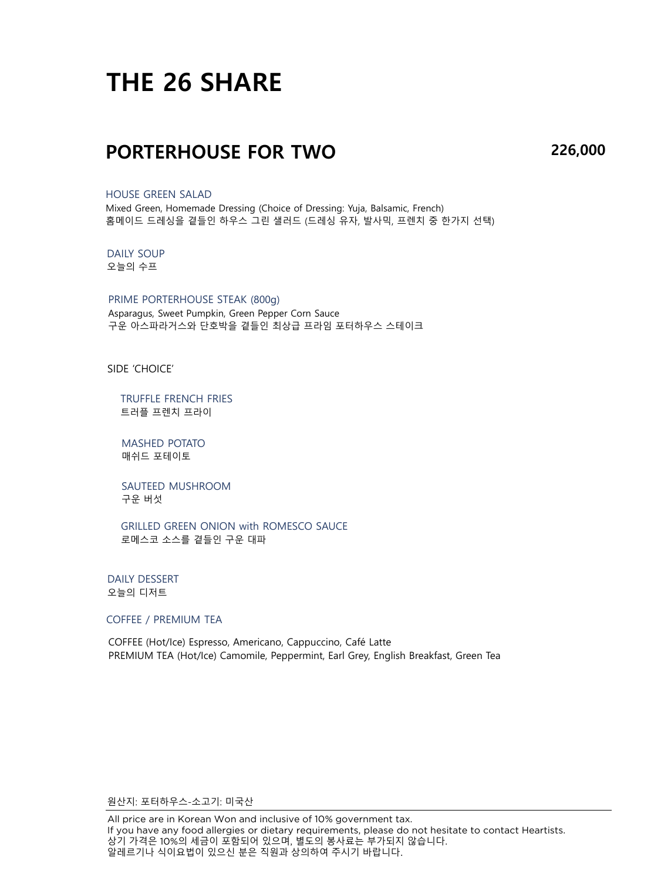# **THE 26 SHARE**

### **PORTERHOUSE FOR TWO**

**226,000**

#### HOUSE GREEN SALAD

Mixed Green, Homemade Dressing (Choice of Dressing: Yuja, Balsamic, French) 홈메이드 드레싱을 곁들인 하우스 그린 샐러드 (드레싱 유자, 발사믹, 프렌치 중 한가지 선택)

#### DAILY SOUP 오늘의 수프

PRIME PORTERHOUSE STEAK (800g) Asparagus, Sweet Pumpkin, Green Pepper Corn Sauce 구운 아스파라거스와 단호박을 곁들인 최상급 프라임 포터하우스 스테이크

SIDE 'CHOICE'

TRUFFLE FRENCH FRIES 트러플 프렌치 프라이

MASHED POTATO 매쉬드 포테이토

SAUTEED MUSHROOM 구운 버섯

GRILLED GREEN ONION with ROMESCO SAUCE 로메스코 소스를 곁들인 구운 대파

DAILY DESSERT 오늘의 디저트

#### COFFEE / PREMIUM TEA

COFFEE (Hot/Ice) Espresso, Americano, Cappuccino, Café Latte PREMIUM TEA (Hot/Ice) Camomile, Peppermint, Earl Grey, English Breakfast, Green Tea

원산지: 포터하우스-소고기: 미국산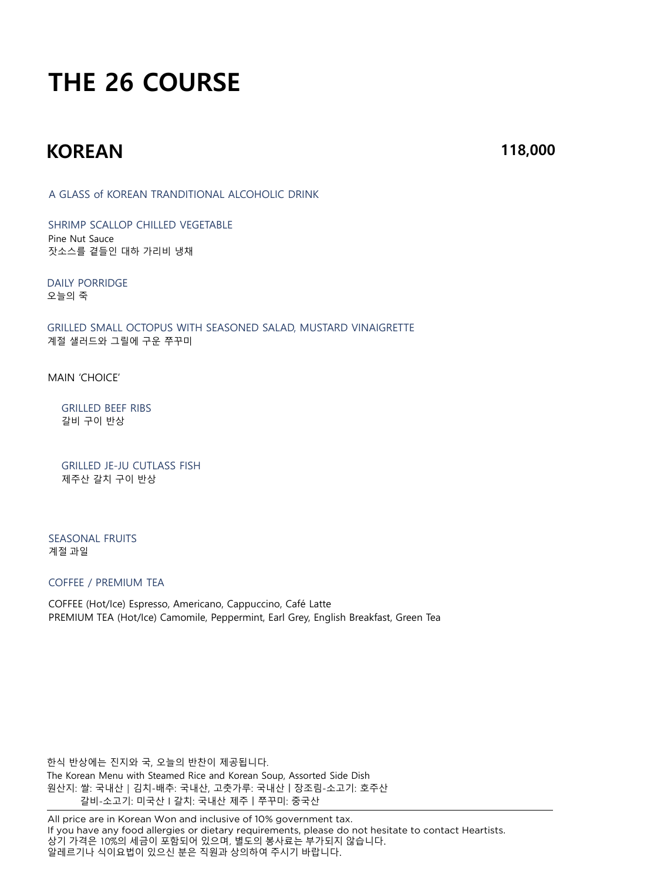# **THE 26 COURSE**

## **KOREAN**

**118,000**

A GLASS of KOREAN TRANDITIONAL ALCOHOLIC DRINK

SHRIMP SCALLOP CHILLED VEGETABLE Pine Nut Sauce 잣소스를 곁들인 대하 가리비 냉채

DAILY PORRIDGE 오늘의 죽

GRILLED SMALL OCTOPUS WITH SEASONED SALAD, MUSTARD VINAIGRETTE 계절 샐러드와 그릴에 구운 쭈꾸미

MAIN 'CHOICE'

GRILLED BEEF RIBS 갈비 구이 반상

GRILLED JE-JU CUTLASS FISH 제주산 갈치 구이 반상

SEASONAL FRUITS 계절 과일

#### COFFEE / PREMIUM TEA

COFFEE (Hot/Ice) Espresso, Americano, Cappuccino, Café Latte PREMIUM TEA (Hot/Ice) Camomile, Peppermint, Earl Grey, English Breakfast, Green Tea

한식 반상에는 진지와 국, 오늘의 반찬이 제공됩니다. The Korean Menu with Steamed Rice and Korean Soup, Assorted Side Dish 원산지: 쌀: 국내산│김치-배추: 국내산, 고춧가루: 국내산ㅣ장조림-소고기: 호주산 갈비-소고기: 미국산 l 갈치: 국내산 제주ㅣ쭈꾸미: 중국산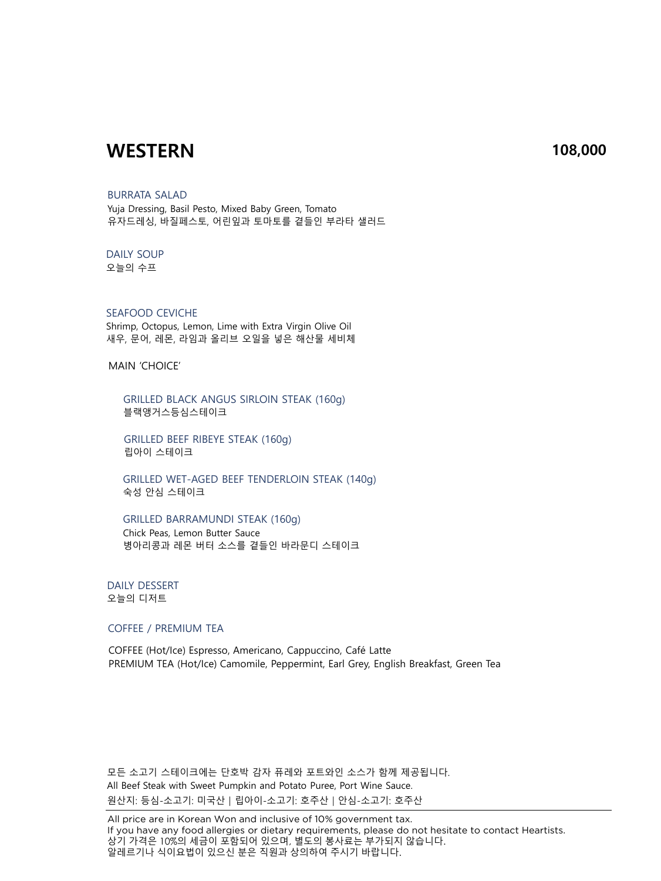### **WESTERN 108,000**

#### BURRATA SALAD

Yuja Dressing, Basil Pesto, Mixed Baby Green, Tomato 유자드레싱, 바질페스토, 어린잎과 토마토를 곁들인 부라타 샐러드

#### DAILY SOUP

오늘의 수프

#### SEAFOOD CEVICHE

Shrimp, Octopus, Lemon, Lime with Extra Virgin Olive Oil 새우, 문어, 레몬, 라임과 올리브 오일을 넣은 해산물 세비체

MAIN 'CHOICE'

GRILLED BLACK ANGUS SIRLOIN STEAK (160g) 블랙앵거스등심스테이크

GRILLED BEEF RIBEYE STEAK (160g) 립아이 스테이크

GRILLED WET-AGED BEEF TENDERLOIN STEAK (140g) 숙성 안심 스테이크

#### GRILLED BARRAMUNDI STEAK (160g)

Chick Peas, Lemon Butter Sauce 병아리콩과 레몬 버터 소스를 곁들인 바라문디 스테이크

#### DAILY DESSERT 오늘의 디저트

COFFEE / PREMIUM TEA

COFFEE (Hot/Ice) Espresso, Americano, Cappuccino, Café Latte PREMIUM TEA (Hot/Ice) Camomile, Peppermint, Earl Grey, English Breakfast, Green Tea

모든 소고기 스테이크에는 단호박 감자 퓨레와 포트와인 소스가 함께 제공됩니다. All Beef Steak with Sweet Pumpkin and Potato Puree, Port Wine Sauce. 원산지: 등심-소고기: 미국산 | 립아이-소고기: 호주산 | 안심-소고기: 호주산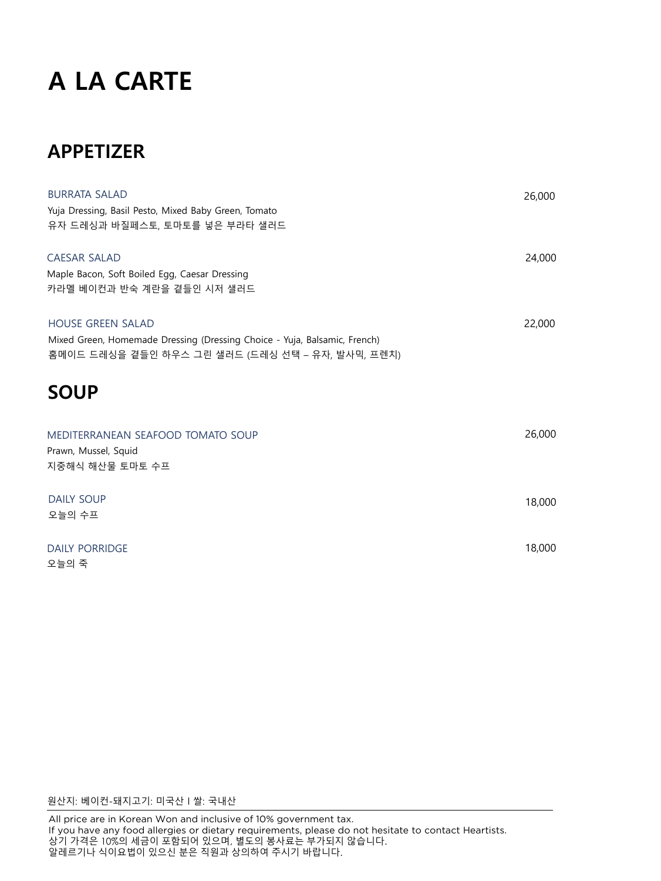# **A LA CARTE**

# **APPETIZER**

| <b>BURRATA SALAD</b>                                                      | 26,000 |
|---------------------------------------------------------------------------|--------|
| Yuja Dressing, Basil Pesto, Mixed Baby Green, Tomato                      |        |
| 유자 드레싱과 바질페스토, 토마토를 넣은 부라타 샐러드                                            |        |
| <b>CAESAR SALAD</b>                                                       | 24,000 |
| Maple Bacon, Soft Boiled Egg, Caesar Dressing                             |        |
| 카라멜 베이컨과 반숙 계란을 곁들인 시저 샐러드                                                |        |
| <b>HOUSE GREEN SALAD</b>                                                  | 22,000 |
| Mixed Green, Homemade Dressing (Dressing Choice - Yuja, Balsamic, French) |        |
| 홈메이드 드레싱을 곁들인 하우스 그린 샐러드 (드레싱 선택 – 유자, 발사믹, 프렌치)                          |        |
| <b>SOUP</b>                                                               |        |
| MEDITERRANEAN SEAFOOD TOMATO SOUP                                         | 26,000 |
| Prawn, Mussel, Squid                                                      |        |
| 지중해식 해산물 토마토 수프                                                           |        |
| <b>DAILY SOUP</b>                                                         | 18,000 |
| 오늘의 수프                                                                    |        |
| <b>DAILY PORRIDGE</b>                                                     | 18,000 |
| 오늘의 죽                                                                     |        |

원산지: 베이컨-돼지고기: 미국산 l 쌀: 국내산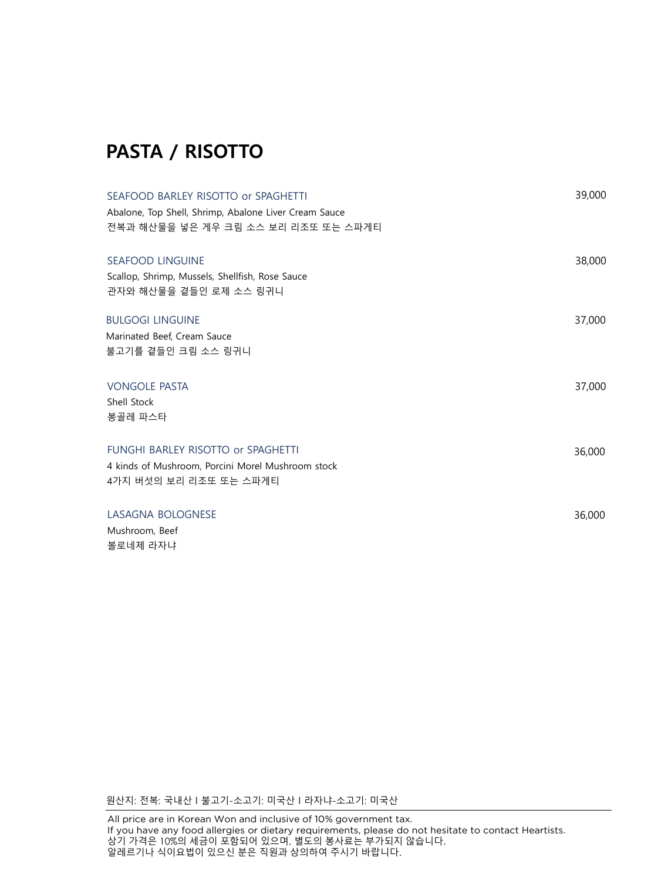# **PASTA / RISOTTO**

| SEAFOOD BARLEY RISOTTO or SPAGHETTI<br>Abalone, Top Shell, Shrimp, Abalone Liver Cream Sauce<br>전복과 해산물을 넣은 게우 크림 소스 보리 리조또 또는 스파게티 | 39,000 |
|-------------------------------------------------------------------------------------------------------------------------------------|--------|
| <b>SEAFOOD LINGUINE</b><br>Scallop, Shrimp, Mussels, Shellfish, Rose Sauce<br>관자와 해산물을 곁들인 로제 소스 링귀니                                | 38,000 |
| <b>BULGOGI LINGUINE</b><br>Marinated Beef, Cream Sauce<br>불고기를 곁들인 크림 소스 링귀니                                                        | 37,000 |
| <b>VONGOLE PASTA</b><br>Shell Stock<br>봉골레 파스타                                                                                      | 37,000 |
| FUNGHI BARLEY RISOTTO or SPAGHETTI<br>4 kinds of Mushroom, Porcini Morel Mushroom stock<br>4가지 버섯의 보리 리조또 또는 스파게티                   | 36,000 |
| LASAGNA BOLOGNESE<br>Mushroom, Beef<br>볼로네제 라자냐                                                                                     | 36,000 |

원산지: 전복: 국내산 l 불고기-소고기: 미국산 l 라자냐-소고기: 미국산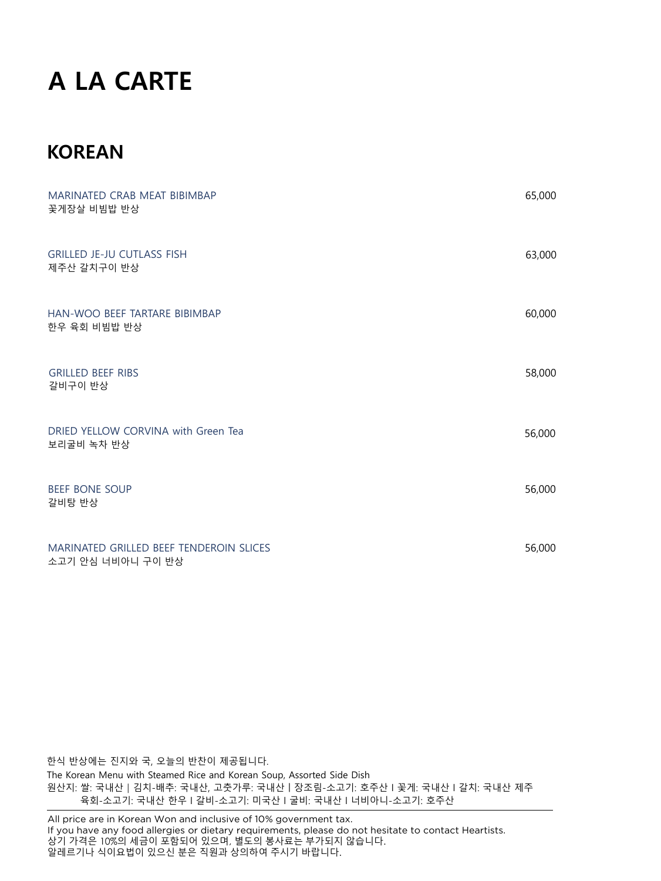# **A LA CARTE**

## **KOREAN**

| MARINATED CRAB MEAT BIBIMBAP<br>꽃게장살 비빔밥 반상                  | 65,000 |
|--------------------------------------------------------------|--------|
| <b>GRILLED JE-JU CUTLASS FISH</b><br>제주산 갈치구이 반상             | 63,000 |
| HAN-WOO BEEF TARTARE BIBIMBAP<br>한우 육회 비빔밥 반상                | 60,000 |
| <b>GRILLED BEEF RIBS</b><br>갈비구이 반상                          | 58,000 |
| DRIED YELLOW CORVINA with Green Tea<br>보리굴비 녹차 반상            | 56,000 |
| <b>BEEF BONE SOUP</b><br>갈비탕 반상                              | 56,000 |
| MARINATED GRILLED BEEF TENDEROIN SLICES<br>소고기 안심 너비아니 구이 반상 | 56,000 |

한식 반상에는 진지와 국, 오늘의 반찬이 제공됩니다. The Korean Menu with Steamed Rice and Korean Soup, Assorted Side Dish 원산지: 쌀: 국내산 | 김치-배추: 국내산, 고춧가루: 국내산 | 장조림-소고기: 호주산 | 꽃게: 국내산 | 갈치: 국내산 제주 육회-소고기: 국내산 한우 l 갈비-소고기: 미국산 l 굴비: 국내산 l 너비아니-소고기: 호주산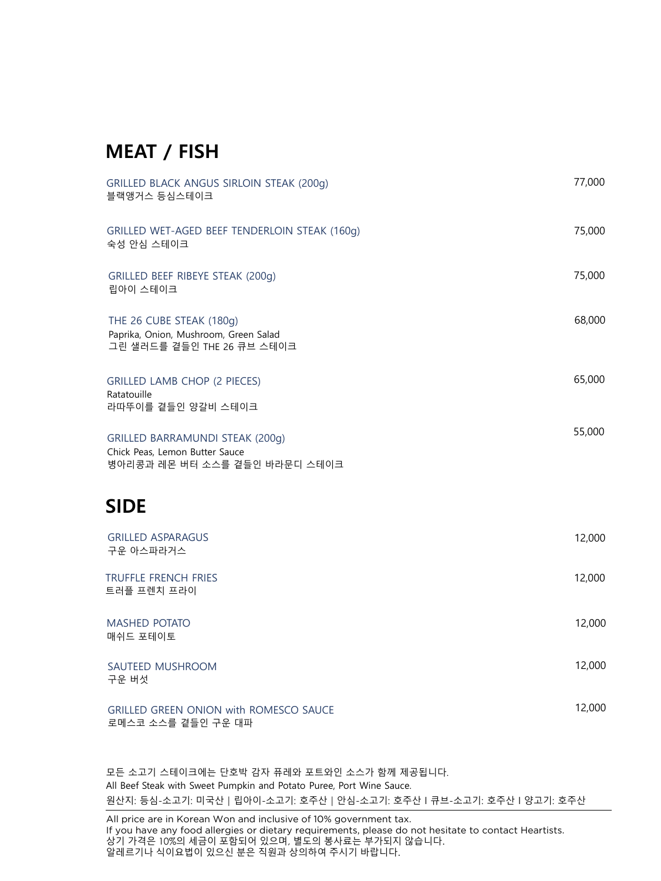## **MEAT / FISH**

| GRILLED BLACK ANGUS SIRLOIN STEAK (200q)<br>블랙앵거스 등심스테이크                                                  | 77,000 |
|-----------------------------------------------------------------------------------------------------------|--------|
| GRILLED WET-AGED BEEF TENDERLOIN STEAK (160g)<br>숙성 안심 스테이크                                               | 75,000 |
| GRILLED BEEF RIBEYE STEAK (200g)<br>립아이 스테이크                                                              | 75,000 |
| THE 26 CUBE STEAK (180g)<br>Paprika, Onion, Mushroom, Green Salad<br>그린 샐러드를 곁들인 THE 26 큐브 스테이크           | 68,000 |
| <b>GRILLED LAMB CHOP (2 PIECES)</b><br>Ratatouille<br>라따뚜이를 곁들인 양갈비 스테이크                                  | 65,000 |
| <b>GRILLED BARRAMUNDI STEAK (200g)</b><br>Chick Peas, Lemon Butter Sauce<br>병아리콩과 레몬 버터 소스를 곁들인 바라문디 스테이크 | 55,000 |
| <b>SIDE</b>                                                                                               |        |
| <b>GRILLED ASPARAGUS</b><br>구운 아스파라거스                                                                     | 12,000 |
| <b>TRUFFLE FRENCH FRIES</b><br>트러플 프렌치 프라이                                                                | 12,000 |
| <b>MASHED POTATO</b><br>매쉬드 포테이토                                                                          | 12,000 |
| SAUTEED MUSHROOM<br>구운 버섯                                                                                 | 12,000 |
| <b>GRILLED GREEN ONION with ROMESCO SAUCE</b>                                                             | 12,000 |

로메스코 소스를 곁들인 구운 대파

모든 소고기 스테이크에는 단호박 감자 퓨레와 포트와인 소스가 함께 제공됩니다. All Beef Steak with Sweet Pumpkin and Potato Puree, Port Wine Sauce. 원산지: 등심-소고기: 미국산 | 립아이-소고기: 호주산 | 안심-소고기: 호주산 | 큐브-소고기: 호주산 | 양고기: 호주산

All price are in Korean Won and inclusive of 10% government tax. If you have any food allergies or dietary requirements, please do not hesitate to contact Heartists. 상기 가격은 10%의 세금이 포함되어 있으며, 별도의 봉사료는 부가되지 않습니다. 알레르기나 식이요법이 있으신 분은 직원과 상의하여 주시기 바랍니다.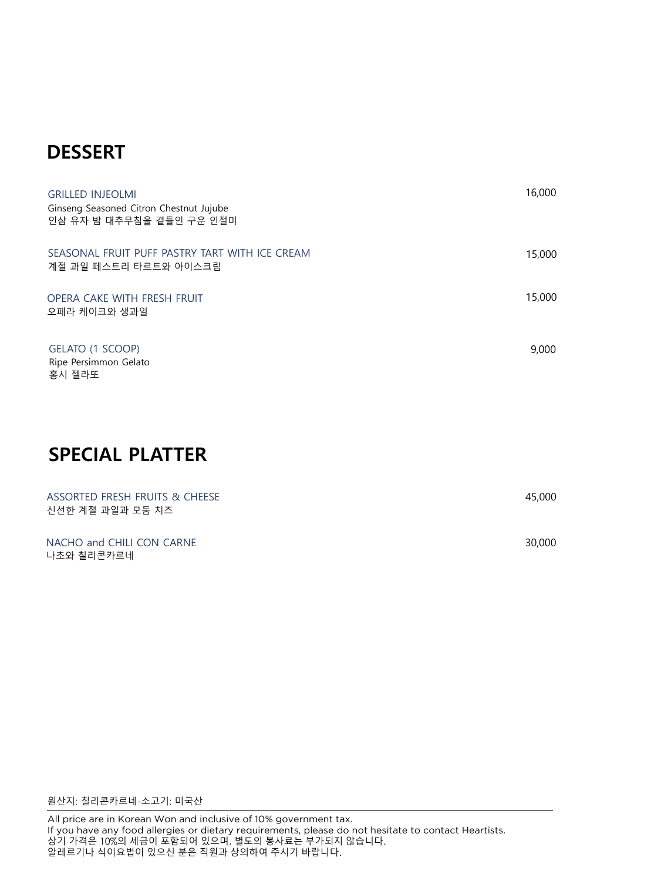## **DESSERT**

| <b>GRILLED INJEOLMI</b><br>Ginseng Seasoned Citron Chestnut Jujube<br>인삼 유자 밤 대추무침을 곁들인 구운 인절미 | 16,000 |
|------------------------------------------------------------------------------------------------|--------|
| SEASONAL FRUIT PUFF PASTRY TART WITH ICE CREAM<br>계절 과일 페스트리 타르트와 아이스크림                        | 15,000 |
| OPERA CAKE WITH FRESH FRUIT<br>오페라 케이크와 생과일                                                    | 15,000 |
| GELATO (1 SCOOP)<br>Ripe Persimmon Gelato<br>홍시 젤라또                                            | 9,000  |
| <b>SPECIAL PLATTER</b>                                                                         |        |
| ASSORTED FRESH FRUITS & CHEESE                                                                 | 45,000 |

| NACHO and CHILI CON CARNE | 30,000 |
|---------------------------|--------|
| 나초와 칠리콘카르네                |        |

원산지: 칠리콘카르네-소고기: 미국산

신선한 계절 과일과 모둠 치즈